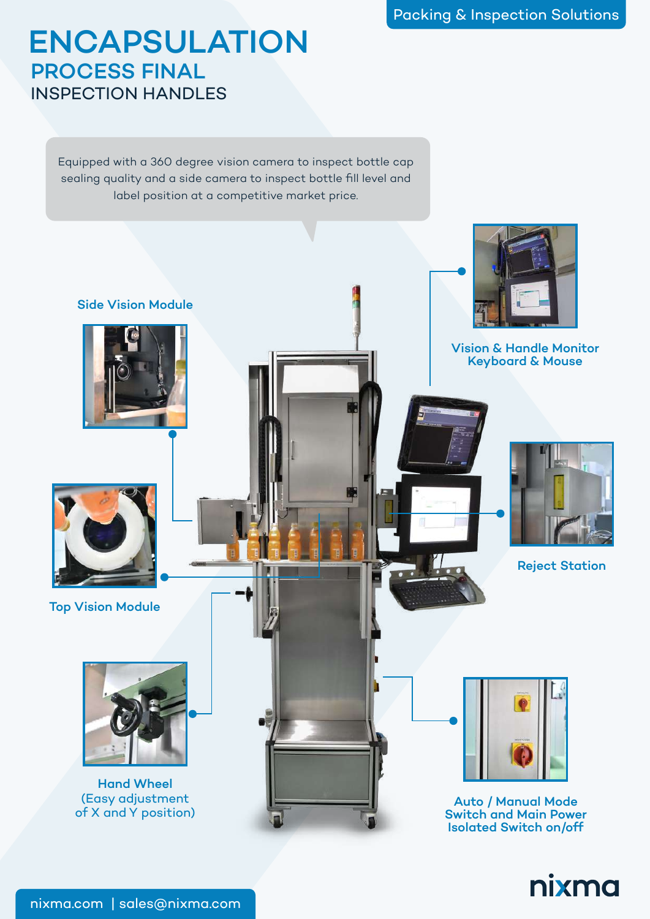## ENCAPSULATION PROCESS FINAL INSPECTION HANDLES

Equipped with a 360 degree vision camera to inspect bottle cap sealing quality and a side camera to inspect bottle fill level and label position at a competitive market price.